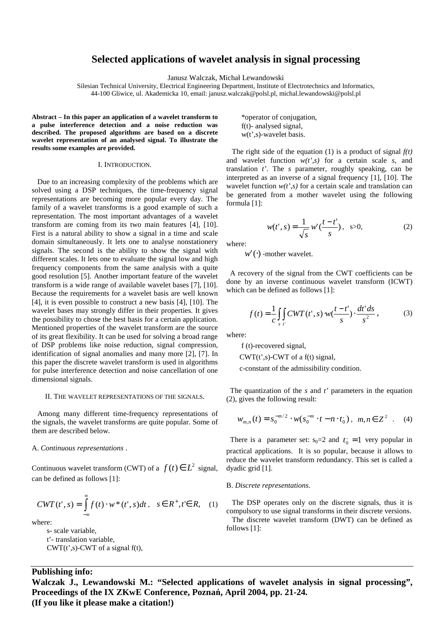# **Selected applications of wavelet analysis in signal processing**

Janusz Walczak, Michał Lewandowski

Silesian Technical University, Electrical Engineering Department, Institute of Electrotechnics and Informatics, 44-100 Gliwice, ul. Akademicka 10, email: janusz.walczak@polsl.pl, michal.lewandowski@polsl.pl

**Abstract – In this paper an application of a wavelet transform to a pulse interference detection and a noise reduction was described. The proposed algorithms are based on a discrete wavelet representation of an analysed signal. To illustrate the results some examples are provided.** 

#### I. INTRODUCTION.

 Due to an increasing complexity of the problems which are solved using a DSP techniques, the time-frequency signal representations are becoming more popular every day. The family of a wavelet transforms is a good example of such a representation. The most important advantages of a wavelet transform are coming from its two main features [4], [10]. First is a natural ability to show a signal in a time and scale domain simultaneously. It lets one to analyse nonstationery signals. The second is the ability to show the signal with different scales. It lets one to evaluate the signal low and high frequency components from the same analysis with a quite good resolution [5]. Another important feature of the wavelet transform is a wide range of available wavelet bases [7], [10]. Because the requirements for a wavelet basis are well known [4], it is even possible to construct a new basis [4], [10]. The wavelet bases may strongly differ in their properties. It gives the possibility to chose the best basis for a certain application. Mentioned properties of the wavelet transform are the source of its great flexibility. It can be used for solving a broad range of DSP problems like noise reduction, signal compression, identification of signal anomalies and many more [2], [7]. In this paper the discrete wavelet transform is used in algorithms for pulse interference detection and noise cancellation of one dimensional signals.

### II. THE WAVELET REPRESENTATIONS OF THE SIGNALS.

 Among many different time-frequency representations of the signals, the wavelet transforms are quite popular. Some of them are described below.

# A. *Continuous representations* .

Continuous wavelet transform (CWT) of a  $f(t) \in L^2$  signal, can be defined as follows [1]:

$$
CWT(t', s) = \int_{-\infty}^{\infty} f(t) \cdot w^*(t', s) dt, \quad s \in R^+, t \in R, \quad (1)
$$

where:

 s- scale variable, t'- translation variable,  $CWT(t^{\prime}, s)$ -CWT of a signal f(t),  \*operator of conjugation, f(t)- analysed signal, w(t',s)-wavelet basis.

The right side of the equation (1) is a product of signal  $f(t)$ and wavelet function *w(t',s)* for a certain scale *s*, and translation *t'*. The *s* parameter, roughly speaking, can be interpreted as an inverse of a signal frequency [1], [10]. The wavelet function  $w(t',s)$  for a certain scale and translation can be generated from a mother wavelet using the following formula [1]:

$$
w(t', s) = \frac{1}{\sqrt{s}} w'(\frac{t - t'}{s}), \quad s > 0,
$$
 (2)

where:

 $w'(\cdot)$  -mother wavelet.

 A recovery of the signal from the CWT coefficients can be done by an inverse continuous wavelet transform (ICWT) which can be defined as follows [1]:

$$
f(t) = \frac{1}{c} \iint_{s} CWT(t', s) \cdot w(\frac{t - t'}{s}) \cdot \frac{dt' ds}{s'},
$$
 (3)

where:

f (t)-recovered signal,

 $CWT(t', s)$ -CWT of a f(t) signal,

c-constant of the admissibility condition.

 The quantization of the *s* and *t'* parameters in the equation (2), gives the following result:

$$
W_{m,n}(t) = s_0^{-m/2} \cdot w(s_0^{-m} \cdot t - n \cdot t_0), \ \ m, n \in \mathbb{Z}^2 \ . \tag{4}
$$

There is a parameter set:  $s_0=2$  and  $t_0 = 1$  very popular in practical applications. It is so popular, because it allows to reduce the wavelet transform redundancy. This set is called a dyadic grid [1].

#### B. *Discrete representations*.

 The DSP operates only on the discrete signals, thus it is compulsory to use signal transforms in their discrete versions. The discrete wavelet transform (DWT) can be defined as follows [1]:

# **Publishing info:**

**Walczak J., Lewandowski M.: "Selected applications of wavelet analysis in signal processing", Proceedings of the IX ZKwE Conference, Poznań, April 2004, pp. 21-24. (If you like it please make a citation!)**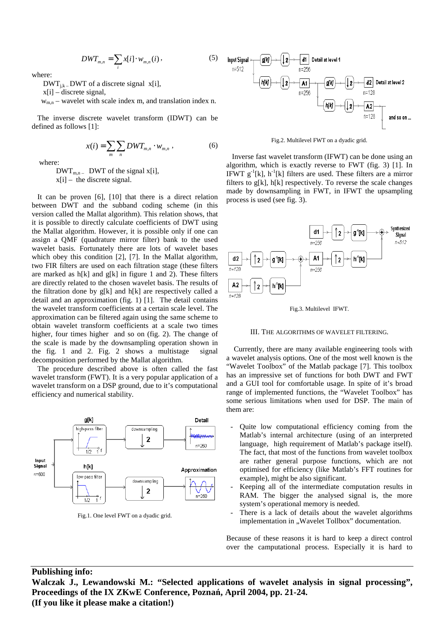$$
DWT_{m,n} = \sum_{i} x[i] \cdot w_{m,n}(i) \,, \tag{5}
$$

where:

 $DWT_{i,k}$  – DWT of a discrete signal x[i],

x[i] – discrete signal,

 $w_{mn}$  – wavelet with scale index m, and translation index n.

 The inverse discrete wavelet transform (IDWT) can be defined as follows [1]:

$$
x(i) = \sum_{m} \sum_{n} DWT_{m,n} \cdot w_{m,n} \,, \tag{6}
$$

where:

 $DWT_{m,n}$  DWT of the signal x[i],  $x[i]$  – the discrete signal.

 It can be proven [6], [10] that there is a direct relation between DWT and the subband coding scheme (in this version called the Mallat algorithm). This relation shows, that it is possible to directly calculate coefficients of DWT using the Mallat algorithm. However, it is possible only if one can assign a QMF (quadrature mirror filter) bank to the used wavelet basis. Fortunately there are lots of wavelet bases which obey this condition [2], [7]. In the Mallat algorithm, two FIR filters are used on each filtration stage (these filters are marked as h[k] and g[k] in figure 1 and 2). These filters are directly related to the chosen wavelet basis. The results of the filtration done by g[k] and h[k] are respectively called a detail and an approximation (fig. 1) [1]. The detail contains the wavelet transform coefficients at a certain scale level. The approximation can be filtered again using the same scheme to obtain wavelet transform coefficients at a scale two times higher, four times higher and so on (fig. 2). The change of the scale is made by the downsampling operation shown in the fig. 1 and 2. Fig. 2 shows a multistage signal decomposition performed by the Mallat algorithm.

 The procedure described above is often called the fast wavelet transform (FWT). It is a very popular application of a wavelet transform on a DSP ground, due to it's computational efficiency and numerical stability.



Fig.1. One level FWT on a dyadic grid.



Fig.2. Multilevel FWT on a dyadic grid.

 Inverse fast wavelet transform (IFWT) can be done using an algorithm, which is exactly reverse to FWT (fig. 3) [1]. In IFWT  $g^{-1}[k]$ , h<sup>-1</sup>[k] filters are used. These filters are a mirror filters to  $g[k]$ ,  $h[k]$  respectively. To reverse the scale changes made by downsampling in FWT, in IFWT the upsampling process is used (see fig. 3).





### III. THE ALGORITHMS OF WAVELET FILTERING.

 Currently, there are many available engineering tools with a wavelet analysis options. One of the most well known is the "Wavelet Toolbox" of the Matlab package [7]. This toolbox has an impressive set of functions for both DWT and FWT and a GUI tool for comfortable usage. In spite of it's broad range of implemented functions, the "Wavelet Toolbox" has some serious limitations when used for DSP. The main of them are:

- Quite low computational efficiency coming from the Matlab's internal architecture (using of an interpreted language, high requirement of Matlab's package itself). The fact, that most of the functions from wavelet toolbox are rather general purpose functions, which are not optimised for efficiency (like Matlab's FFT routines for example), might be also significant.
- Keeping all of the intermediate computation results in RAM. The bigger the analysed signal is, the more system's operational memory is needed.
- There is a lack of details about the wavelet algorithms implementation in "Wavelet Tollbox" documentation.

Because of these reasons it is hard to keep a direct control over the camputational process. Especially it is hard to

# **Publishing info:**

**Walczak J., Lewandowski M.: "Selected applications of wavelet analysis in signal processing", Proceedings of the IX ZKwE Conference, Poznań, April 2004, pp. 21-24. (If you like it please make a citation!)**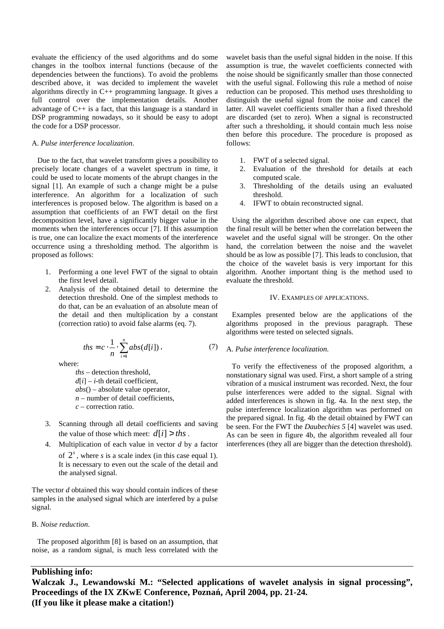evaluate the efficiency of the used algorithms and do some changes in the toolbox internal functions (because of the dependencies between the functions). To avoid the problems described above, it was decided to implement the wavelet algorithms directly in C++ programming language. It gives a full control over the implementation details. Another advantage of C++ is a fact, that this language is a standard in DSP programming nowadays, so it should be easy to adopt the code for a DSP processor.

### A. *Pulse interference localization*.

 Due to the fact, that wavelet transform gives a possibility to precisely locate changes of a wavelet spectrum in time, it could be used to locate moments of the abrupt changes in the signal [1]. An example of such a change might be a pulse interference. An algorithm for a localization of such interferences is proposed below. The algorithm is based on a assumption that coefficients of an FWT detail on the first decomposition level, have a significantly bigger value in the moments when the interferences occur [7]. If this assumption is true, one can localize the exact moments of the interference occurrence using a thresholding method. The algorithm is proposed as follows:

- 1. Performing a one level FWT of the signal to obtain the first level detail.
- 2. Analysis of the obtained detail to determine the detection threshold. One of the simplest methods to do that, can be an evaluation of an absolute mean of the detail and then multiplication by a constant (correction ratio) to avoid false alarms (eq. 7).

*abs id*

where:

 *ths* – detection threshold,  $d[i]$  – *i*-th detail coefficient, *abs*() – absolute value operator,  $n$  – number of detail coefficients, *c* – correction ratio.

 $\sum_{i=1}^{n}$  $=c \cdot \frac{1}{\cdot} \sum_{n=1}^{n}$ 

1  $\frac{1}{\sum}$  abs(d[i])

*i*

*n*

 $ths = c$ 

- 3. Scanning through all detail coefficients and saving the value of those which meet:  $d[i] > ths$ .
- 4. Multiplication of each value in vector *d* by a factor of  $2<sup>s</sup>$ , where *s* is a scale index (in this case equal 1). It is necessary to even out the scale of the detail and the analysed signal.

The vector *d* obtained this way should contain indices of these samples in the analysed signal which are interfered by a pulse signal.

### B. *Noise reduction*.

 The proposed algorithm [8] is based on an assumption, that noise, as a random signal, is much less correlated with the

wavelet basis than the useful signal hidden in the noise. If this assumption is true, the wavelet coefficients connected with the noise should be significantly smaller than those connected with the useful signal. Following this rule a method of noise reduction can be proposed. This method uses thresholding to distinguish the useful signal from the noise and cancel the latter. All wavelet coefficients smaller than a fixed threshold are discarded (set to zero). When a signal is reconstructed after such a thresholding, it should contain much less noise then before this procedure. The procedure is proposed as follows:

- 1. FWT of a selected signal.
- 2. Evaluation of the threshold for details at each computed scale.
- 3. Thresholding of the details using an evaluated threshold.
- 4. IFWT to obtain reconstructed signal.

 Using the algorithm described above one can expect, that the final result will be better when the correlation between the wavelet and the useful signal will be stronger. On the other hand, the correlation between the noise and the wavelet should be as low as possible [7]. This leads to conclusion, that the choice of the wavelet basis is very important for this algorithm. Another important thing is the method used to evaluate the threshold.

# IV. EXAMPLES OF APPLICATIONS.

 Examples presented below are the applications of the algorithms proposed in the previous paragraph. These algorithms were tested on selected signals.

### A. *Pulse interference localization.*

 To verify the effectiveness of the proposed algorithm, a nonstationary signal was used. First, a short sample of a string vibration of a musical instrument was recorded. Next, the four pulse interferences were added to the signal. Signal with added interferences is shown in fig. 4a. In the next step, the pulse interference localization algorithm was performed on the prepared signal. In fig. 4b the detail obtained by FWT can be seen. For the FWT the *Daubechies 5* [4] wavelet was used. As can be seen in figure 4b, the algorithm revealed all four interferences (they all are bigger than the detection threshold).

# **Publishing info:**

**Walczak J., Lewandowski M.: "Selected applications of wavelet analysis in signal processing", Proceedings of the IX ZKwE Conference, Poznań, April 2004, pp. 21-24. (If you like it please make a citation!)** 

, (7)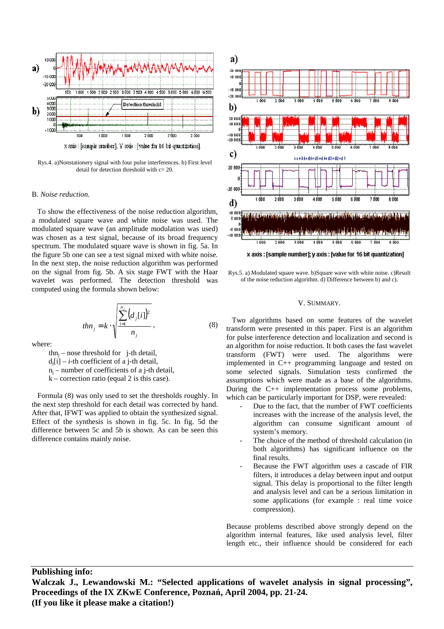

Rys.4. a)Nonstationery signal with four pulse interferences. b) First level detail for detection threshold with c= 20.

#### B. *Noise reduction.*

 To show the effectiveness of the noise reduction algorithm, a modulated square wave and white noise was used. The modulated square wave (an amplitude modulation was used) was chosen as a test signal, because of its broad frequency spectrum. The modulated square wave is shown in fig. 5a. In the figure 5b one can see a test signal mixed with white noise. In the next step, the noise reduction algorithm was performed on the signal from fig. 5b. A six stage FWT with the Haar wavelet was performed. The detection threshold was computed using the formula shown below:

$$
t h n_j = k \cdot \sqrt{\sum_{i=1}^{n_j} (d_j[i])^2 \over n_j},
$$
\n(8)

where:

 $\tan_j$  – nose threshold for j-th detail,  $d_i[i] - i$ -th coefficient of a j-th detail,  $n_j$  – number of coefficients of a j-th detail,  $k$  – correction ratio (equal 2 is this case).

 Formula (8) was only used to set the thresholds roughly. In the next step threshold for each detail was corrected by hand. After that, IFWT was applied to obtain the synthesized signal. Effect of the synthesis is shown in fig. 5c. In fig. 5d the difference between 5c and 5b is shown. As can be seen this difference contains mainly noise.



Rys.5. a) Modulated square wave. b)Square wave with white noise. c)Result of the noise reduction algorithm. d) Difference between b) and c).

#### V. SUMMARY.

 Two algorithms based on some features of the wavelet transform were presented in this paper. First is an algorithm for pulse interference detection and localization and second is an algorithm for noise reduction. It both cases the fast wavelet transform (FWT) were used. The algorithms were implemented in C++ programming language and tested on some selected signals. Simulation tests confirmed the assumptions which were made as a base of the algorithms. During the C++ implementation process some problems, which can be particularly important for DSP, were revealed:

- Due to the fact, that the number of FWT coefficients increases with the increase of the analysis level, the algorithm can consume significant amount of system's memory.
- The choice of the method of threshold calculation (in both algorithms) has significant influence on the final results.
- Because the FWT algorithm uses a cascade of FIR filters, it introduces a delay between input and output signal. This delay is proportional to the filter length and analysis level and can be a serious limitation in some applications (for example : real time voice compression).

Because problems described above strongly depend on the algorithm internal features, like used analysis level, filter length etc., their influence should be considered for each

# **Publishing info:**

**Walczak J., Lewandowski M.: "Selected applications of wavelet analysis in signal processing", Proceedings of the IX ZKwE Conference, Poznań, April 2004, pp. 21-24. (If you like it please make a citation!)**